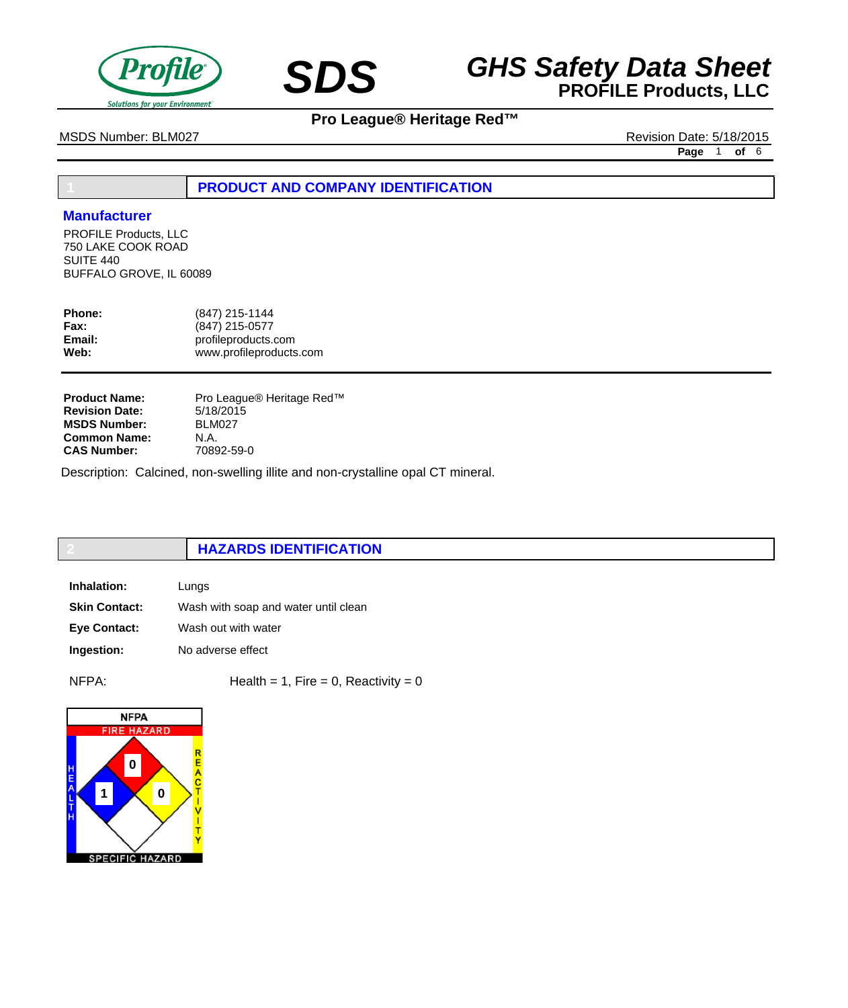

# **SDS GHS Safety Data Sheet**<br>**PROFILE Products, LLC**

# **Pro League® Heritage Red™**

MSDS Number: BLM027 Revision Date: 5/18/2015

**Page** 1 **of** 6

# **1 PRODUCT AND COMPANY IDENTIFICATION**

## **Manufacturer**

PROFILE Products, LLC 750 LAKE COOK ROAD SUITE 440 BUFFALO GROVE, IL 60089

| (847) 215-1144<br>(847) 215-0577               |
|------------------------------------------------|
| profileproducts.com<br>www.profileproducts.com |
|                                                |

Pro League® Heritage Red™ 5/18/2015 BLM027 N.A. 70892-59-0 **Product Name: Revision Date: MSDS Number: Common Name: CAS Number:**

Description: Calcined, non-swelling illite and non-crystalline opal CT mineral.

# **2 HAZARDS IDENTIFICATION**

| Inhalation:          | Lungs                                |
|----------------------|--------------------------------------|
| <b>Skin Contact:</b> | Wash with soap and water until clean |
| <b>Eve Contact:</b>  | Wash out with water                  |
| Ingestion:           | No adverse effect                    |

 $NFPA:$  Health = 1, Fire = 0, Reactivity = 0

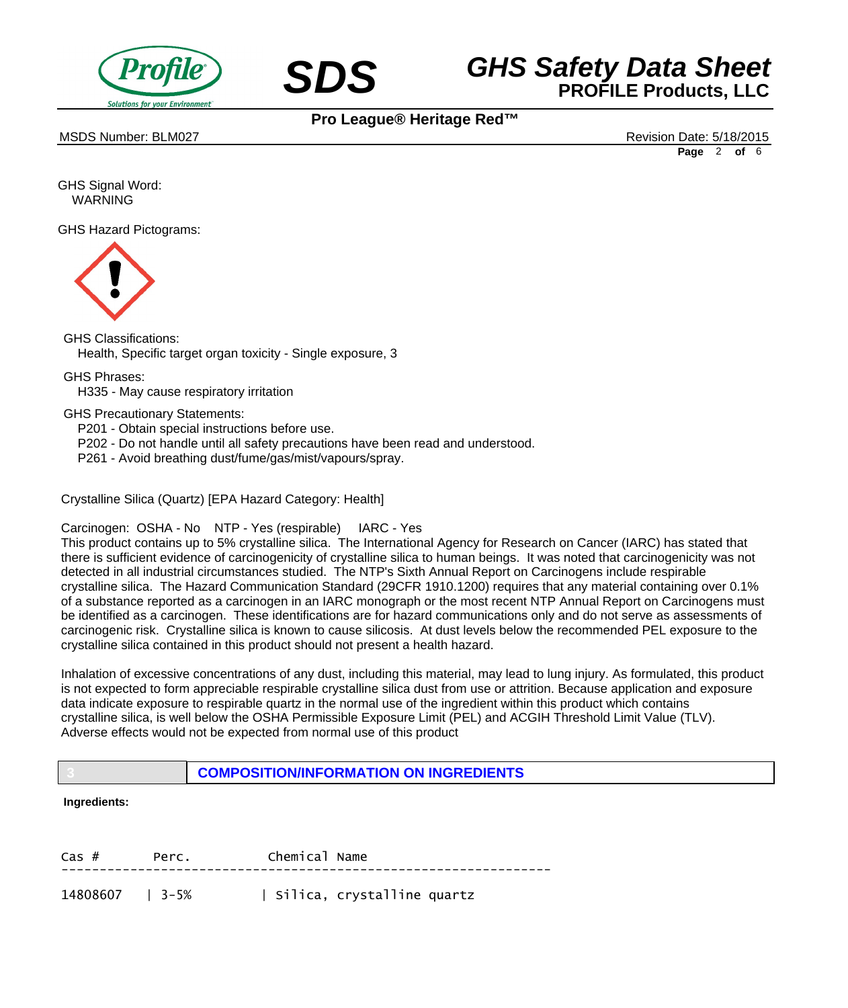



MSDS Number: BLM027 **Alternative Distribution Date: 5/18/2015** Revision Date: 5/18/2015

**Page** 2 **of** 6

GHS Signal Word: WARNING

GHS Hazard Pictograms:



GHS Classifications: Health, Specific target organ toxicity - Single exposure, 3

GHS Phrases:

 H335 - May cause respiratory irritation

GHS Precautionary Statements:

 P201 - Obtain special instructions before use.

- P202 Do not handle until all safety precautions have been read and understood.
- P261 Avoid breathing dust/fume/gas/mist/vapours/spray.

Crystalline Silica (Quartz) [EPA Hazard Category: Health]

Carcinogen: OSHA - No NTP - Yes (respirable) IARC - Yes

This product contains up to 5% crystalline silica. The International Agency for Research on Cancer (IARC) has stated that there is sufficient evidence of carcinogenicity of crystalline silica to human beings. It was noted that carcinogenicity was not detected in all industrial circumstances studied. The NTP's Sixth Annual Report on Carcinogens include respirable crystalline silica. The Hazard Communication Standard (29CFR 1910.1200) requires that any material containing over 0.1% of a substance reported as a carcinogen in an IARC monograph or the most recent NTP Annual Report on Carcinogens must be identified as a carcinogen. These identifications are for hazard communications only and do not serve as assessments of carcinogenic risk. Crystalline silica is known to cause silicosis. At dust levels below the recommended PEL exposure to the crystalline silica contained in this product should not present a health hazard.

Inhalation of excessive concentrations of any dust, including this material, may lead to lung injury. As formulated, this product is not expected to form appreciable respirable crystalline silica dust from use or attrition. Because application and exposure data indicate exposure to respirable quartz in the normal use of the ingredient within this product which contains crystalline silica, is well below the OSHA Permissible Exposure Limit (PEL) and ACGIH Threshold Limit Value (TLV). Adverse effects would not be expected from normal use of this product

**3 COMPOSITION/INFORMATION ON INGREDIENTS**

## **Ingredients:**

| $\text{Cas }#$  | Perc. | Chemical Name |                            |
|-----------------|-------|---------------|----------------------------|
| 14808607   3-5% |       |               | Silica, crystalline quartz |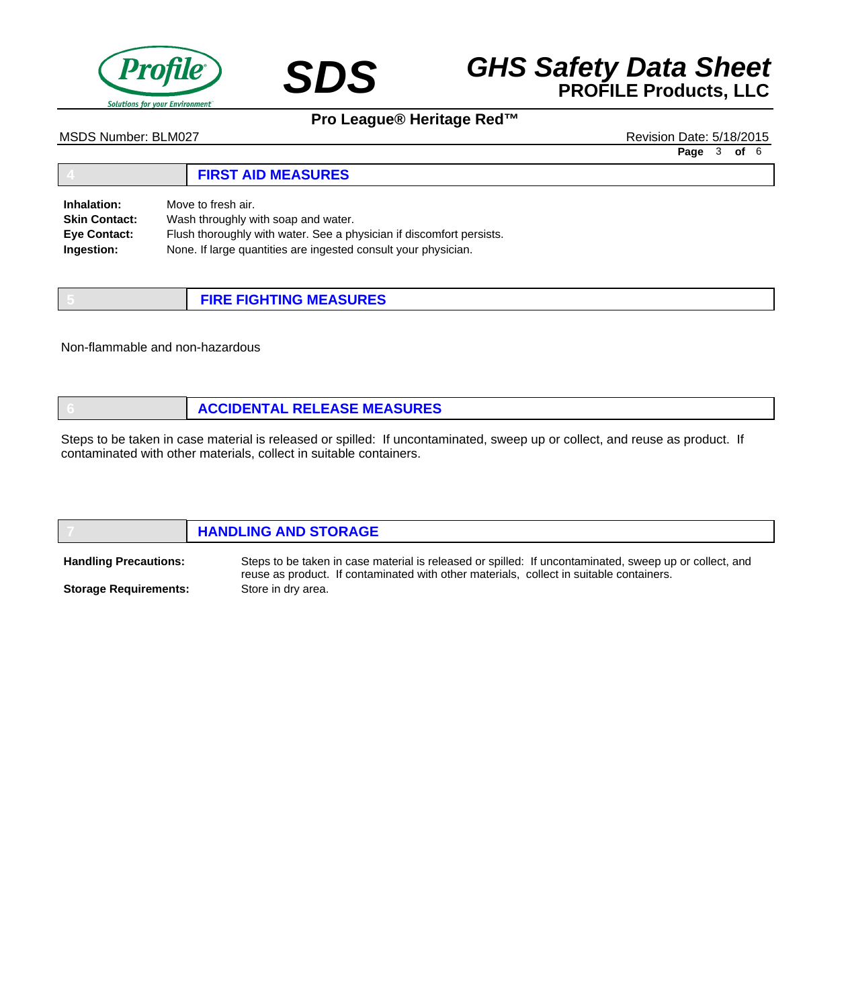



MSDS Number: BLM027 Revision Date: 5/18/2015

**Page** 3 **of** 6

#### **4 FIRST AID MEASURES** Move to fresh air. Wash throughly with soap and water. Flush thoroughly with water. See a physician if discomfort persists. None. If large quantities are ingested consult your physician. **Inhalation: Skin Contact: Eye Contact: Ingestion:**

| <b>FIRE FIGHTING MEASURES</b> |
|-------------------------------|

Non-flammable and non-hazardous

|  |  | <b>ACCIDENTAL RELEASE MEASURES</b> |
|--|--|------------------------------------|
|--|--|------------------------------------|

Steps to be taken in case material is released or spilled: If uncontaminated, sweep up or collect, and reuse as product. If contaminated with other materials, collect in suitable containers.

|                              | <b>HANDLING AND STORAGE</b>                                                                                                                                                                       |
|------------------------------|---------------------------------------------------------------------------------------------------------------------------------------------------------------------------------------------------|
| <b>Handling Precautions:</b> | Steps to be taken in case material is released or spilled: If uncontaminated, sweep up or collect, and<br>reuse as product. If contaminated with other materials, collect in suitable containers. |
| <b>Storage Requirements:</b> | Store in dry area.                                                                                                                                                                                |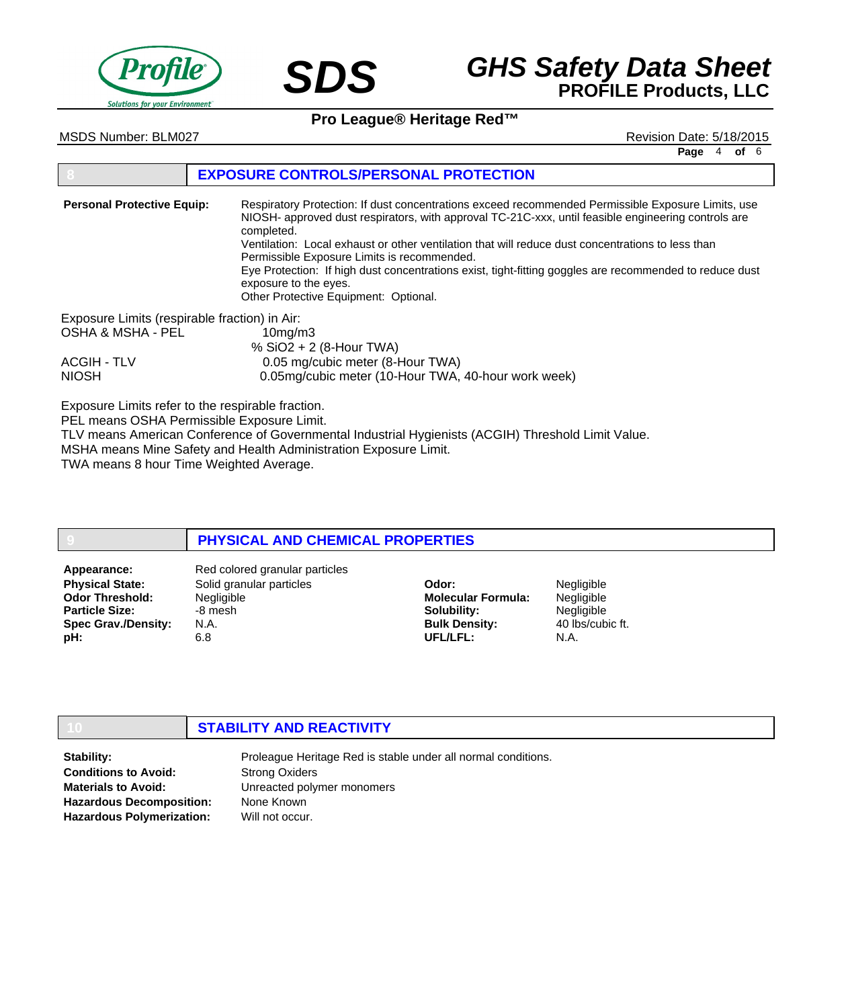



MSDS Number: BLM027 **Alternative Distribution Date: 5/18/2015** Revision Date: 5/18/2015

**Page** 4 **of** 6

## **8 EXPOSURE CONTROLS/PERSONAL PROTECTION**

Respiratory Protection: If dust concentrations exceed recommended Permissible Exposure Limits, use NIOSH- approved dust respirators, with approval TC-21C-xxx, until feasible engineering controls are completed. Ventilation: Local exhaust or other ventilation that will reduce dust concentrations to less than Permissible Exposure Limits is recommended. Eye Protection: If high dust concentrations exist, tight-fitting goggles are recommended to reduce dust exposure to the eyes. Other Protective Equipment: Optional. Exposure Limits (respirable fraction) in Air: OSHA & MSHA - PEL 10mg/m3 % SiO2 + 2 (8-Hour TWA) ACGIH - TLV 0.05 mg/cubic meter (8-Hour TWA) NIOSH 0.05mg/cubic meter (10-Hour TWA, 40-hour work week) **Personal Protective Equip:**

Exposure Limits refer to the respirable fraction.

PEL means OSHA Permissible Exposure Limit.

TLV means American Conference of Governmental Industrial Hygienists (ACGIH) Threshold Limit Value. MSHA means Mine Safety and Health Administration Exposure Limit.

TWA means 8 hour Time Weighted Average.

## **9 PHYSICAL AND CHEMICAL PROPERTIES**

**Physical State: Odor Threshold: Particle Size: Spec Grav./Density: pH:**

Solid granular particles Negligible -8 mesh N.A. 6.8 Appearance: Red colored granular particles

**Odor: Molecular Formula: Solubility: Bulk Density: UFL/LFL:**

Negligible **Negligible** Negligible 40 lbs/cubic ft. N.A.

## **10 STABILITY AND REACTIVITY**

**Stability: Conditions to Avoid: Materials to Avoid: Hazardous Decomposition: Hazardous Polymerization:**

Proleague Heritage Red is stable under all normal conditions. Strong Oxiders Unreacted polymer monomers None Known Will not occur.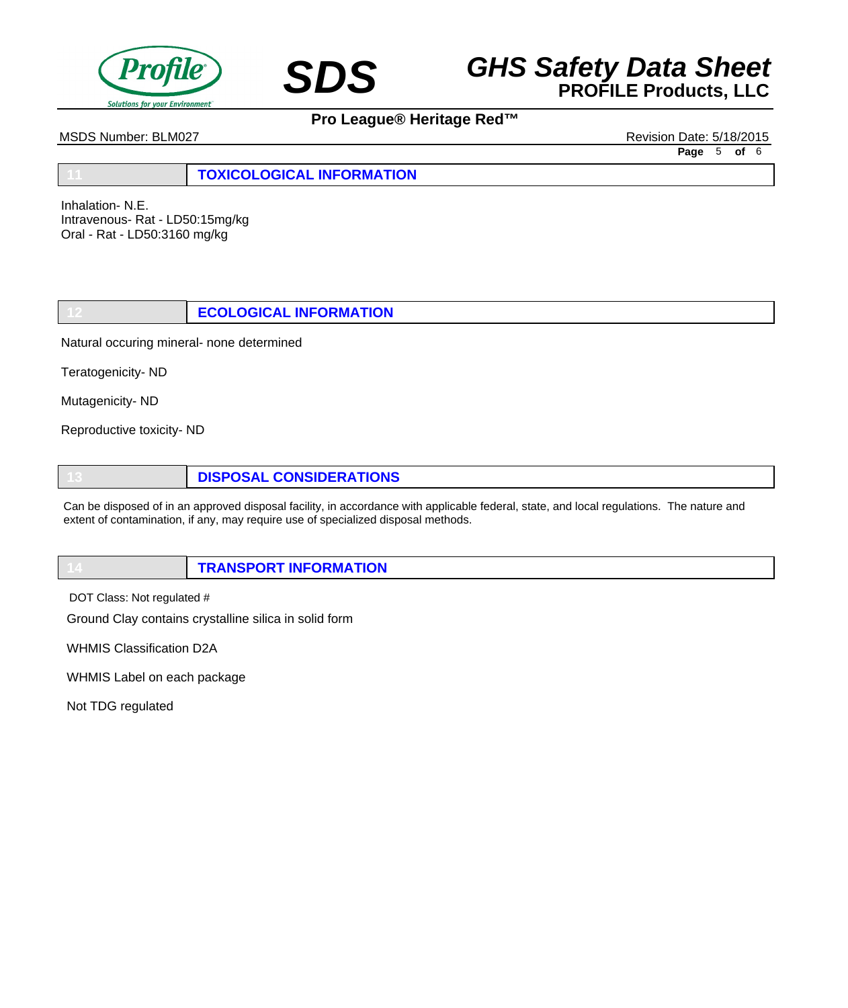



MSDS Number: BLM027 **Review of Australian Control** Control Control Control Control Control Control Control Control Control Control Control Control Control Control Control Control Control Control Control Control Control Con

**Page** 5 **of** 6

**11 TOXICOLOGICAL INFORMATION**

Inhalation- N.E. Intravenous- Rat - LD50:15mg/kg Oral - Rat - LD50:3160 mg/kg

**12 ECOLOGICAL INFORMATION**

Natural occuring mineral- none determined

Teratogenicity- ND

Mutagenicity- ND

Reproductive toxicity- ND

**13 DISPOSAL CONSIDERATIONS**

Can be disposed of in an approved disposal facility, in accordance with applicable federal, state, and local regulations. The nature and extent of contamination, if any, may require use of specialized disposal methods.

**14 TRANSPORT INFORMATION**

DOT Class: Not regulated #

Ground Clay contains crystalline silica in solid form

WHMIS Classification D2A

WHMIS Label on each package

Not TDG regulated